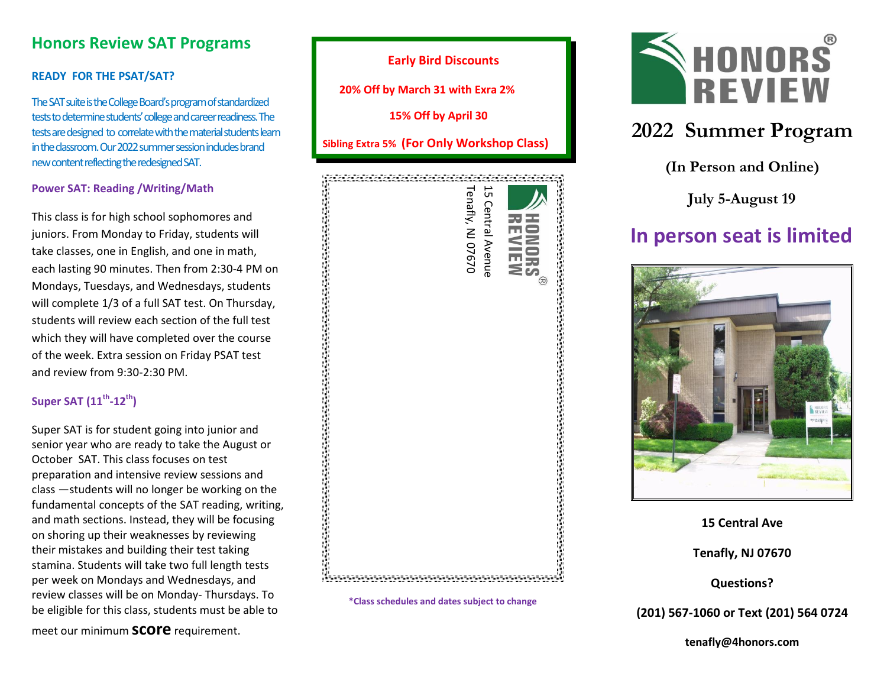## **Honors Review SAT Programs**

#### **READY FOR THE PSAT/SAT?**

The SAT suite is the College Board's program of standardized tests todetermine students' college and career readiness. The tests are designed to correlate with the material students learn in the classroom.Our2022summer session includesbrand new content reflecting the redesigned SAT.

#### **Power SAT: Reading /Writing/Math**

This class is for high school sophomores and juniors. From Monday to Friday, students will take classes, one in English, and one in math, each lasting 90 minutes. Then from 2:30-4 PM on Mondays, Tuesdays, and Wednesdays, students will complete 1/3 of a full SAT test. On Thursday, students will review each section of the full test which they will have completed over the course of the week. Extra session on Friday PSAT test and review from 9:30-2:30 PM.

#### **Super SAT (11 th -12 th)**

Super SAT is for student going into junior and senior year who are ready to take the August or October SAT. This class focuses on test preparation and intensive review sessions and class —students will no longer be working on the fundamental concepts of the SAT reading, writing, and math sections. Instead, they will be focusing on shoring up their weaknesses by reviewing on shoring up their weaknesses by reviewing<br>their mistakes and building their test taking stamina. Students will take two full length tests per week on Mondays and Wednesdays, and review classes will be on Monday- Thursdays. To be eligible for this class, students must be able to tc<br>e<br>v :<br>e <del>r</del>

 **15% Off by April 30 Sibling Extra 5% (For Only Workshop Class)** Tenafly, NJ 07670 Tenafly, NJ 07670 15 Central Avenue **15 Central Avenue \*Class schedules and dates subject to change**

**Early Bird Discounts**

 **20% Off by March 31 with Exra 2%** 



# **2022 Summer Program**

**(In Person and Online)**

**July 5-August 19**

# **In person seat is limited**



#### **15 Central Ave**

**Tenafly, NJ 07670**

**Questions?** 

#### **(201) 567-1060 or Text (201) 564 0724**

**tenafly@4honors.co[m](http://www.4honors.com/)**

meet our minimum **score** requirement.